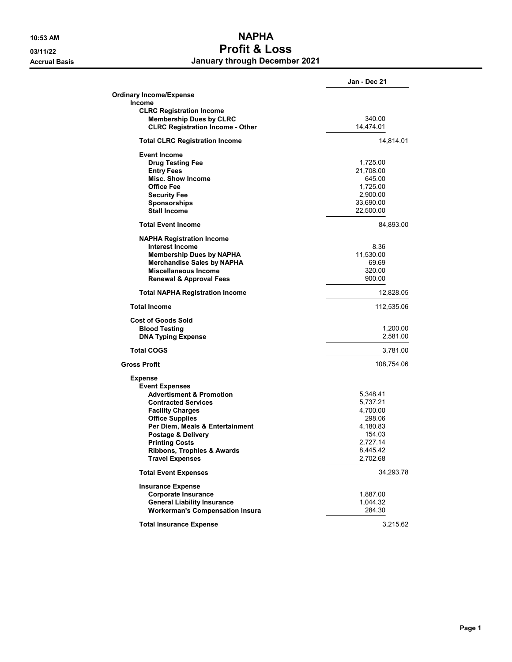## **10:53 AM NAPHA 03/11/22 Profit & Loss Accrual Basis January through December 2021**

|                                               | Jan - Dec 21          |
|-----------------------------------------------|-----------------------|
| <b>Ordinary Income/Expense</b>                |                       |
| <b>Income</b>                                 |                       |
| <b>CLRC Registration Income</b>               |                       |
| <b>Membership Dues by CLRC</b>                | 340.00                |
| <b>CLRC Registration Income - Other</b>       | 14,474.01             |
| <b>Total CLRC Registration Income</b>         | 14,814.01             |
|                                               |                       |
| <b>Event Income</b>                           |                       |
| <b>Drug Testing Fee</b>                       | 1,725.00              |
| <b>Entry Fees</b><br><b>Misc. Show Income</b> | 21,708.00             |
| <b>Office Fee</b>                             | 645.00<br>1,725.00    |
| <b>Security Fee</b>                           |                       |
| <b>Sponsorships</b>                           | 2,900.00<br>33,690.00 |
| <b>Stall Income</b>                           |                       |
|                                               | 22,500.00             |
| <b>Total Event Income</b>                     | 84,893.00             |
| <b>NAPHA Registration Income</b>              |                       |
| <b>Interest Income</b>                        | 8.36                  |
| <b>Membership Dues by NAPHA</b>               | 11.530.00             |
| <b>Merchandise Sales by NAPHA</b>             | 69.69                 |
| Miscellaneous Income                          | 320.00                |
| <b>Renewal &amp; Approval Fees</b>            | 900.00                |
| <b>Total NAPHA Registration Income</b>        | 12,828.05             |
| <b>Total Income</b>                           | 112,535.06            |
| <b>Cost of Goods Sold</b>                     |                       |
| <b>Blood Testing</b>                          | 1,200.00              |
| <b>DNA Typing Expense</b>                     | 2,581.00              |
| <b>Total COGS</b>                             | 3,781.00              |
| <b>Gross Profit</b>                           | 108,754.06            |
| <b>Expense</b>                                |                       |
| <b>Event Expenses</b>                         |                       |
| <b>Advertisment &amp; Promotion</b>           | 5,348.41              |
| <b>Contracted Services</b>                    | 5,737.21              |
| <b>Facility Charges</b>                       | 4,700.00              |
| <b>Office Supplies</b>                        | 298.06                |
| Per Diem, Meals & Entertainment               | 4,180.83              |
| Postage & Delivery                            | 154.03                |
| <b>Printing Costs</b>                         | 2,727.14              |
| <b>Ribbons, Trophies &amp; Awards</b>         | 8,445.42              |
| <b>Travel Expenses</b>                        | 2,702.68              |
| <b>Total Event Expenses</b>                   | 34,293.78             |
| <b>Insurance Expense</b>                      |                       |
| <b>Corporate Insurance</b>                    | 1,887.00              |
| <b>General Liability Insurance</b>            | 1,044.32              |
| <b>Workerman's Compensation Insura</b>        | 284.30                |
| <b>Total Insurance Expense</b>                | 3,215.62              |
|                                               |                       |